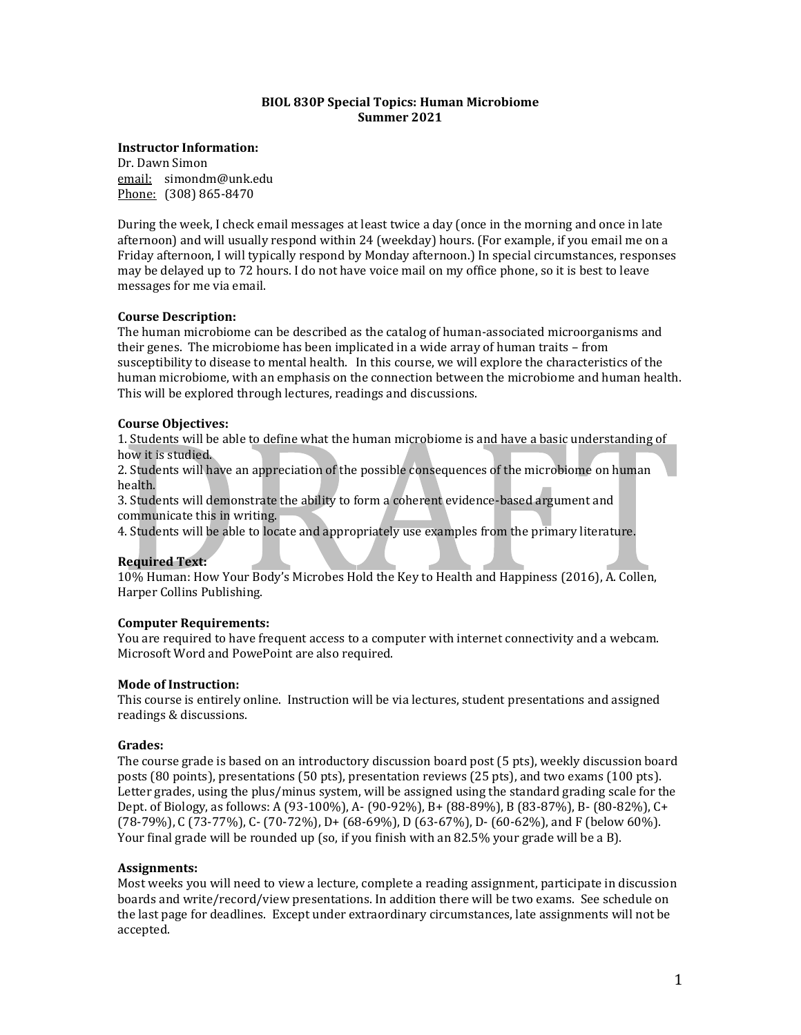### **BIOL 830P Special Topics: Human Microbiome Summer 2021**

### **Instructor Information:**

Dr. Dawn Simon email: simondm@unk.edu Phone: (308) 865-8470

During the week, I check email messages at least twice a day (once in the morning and once in late afternoon) and will usually respond within 24 (weekday) hours. (For example, if you email me on a Friday afternoon, I will typically respond by Monday afternoon.) In special circumstances, responses may be delayed up to 72 hours. I do not have voice mail on my office phone, so it is best to leave messages for me via email.

# **Course Description:**

The human microbiome can be described as the catalog of human-associated microorganisms and their genes. The microbiome has been implicated in a wide array of human traits – from susceptibility to disease to mental health. In this course, we will explore the characteristics of the human microbiome, with an emphasis on the connection between the microbiome and human health. This will be explored through lectures, readings and discussions.

# **Course Objectives:**

1. Students will be able to define what the human microbiome is and have a basic understanding of how it is studied.

2. Students will have an appreciation of the possible consequences of the microbiome on human health.

3. Students will demonstrate the ability to form a coherent evidence-based argument and communicate this in writing.

4. Students will be able to locate and appropriately use examples from the primary literature.

### **Required Text:**

10% Human: How Your Body's Microbes Hold the Key to Health and Happiness (2016), A. Collen, Harper Collins Publishing.

### **Computer Requirements:**

You are required to have frequent access to a computer with internet connectivity and a webcam. Microsoft Word and PowePoint are also required.

### **Mode of Instruction:**

This course is entirely online. Instruction will be via lectures, student presentations and assigned readings & discussions.

### **Grades:**

The course grade is based on an introductory discussion board post (5 pts), weekly discussion board posts (80 points), presentations (50 pts), presentation reviews (25 pts), and two exams (100 pts). Letter grades, using the plus/minus system, will be assigned using the standard grading scale for the Dept. of Biology, as follows: A (93-100%), A- (90-92%), B+ (88-89%), B (83-87%), B- (80-82%), C+ (78-79%), C (73-77%), C- (70-72%), D+ (68-69%), D (63-67%), D- (60-62%), and F (below 60%). Your final grade will be rounded up (so, if you finish with an 82.5% your grade will be a B).

### **Assignments:**

Most weeks you will need to view a lecture, complete a reading assignment, participate in discussion boards and write/record/view presentations. In addition there will be two exams. See schedule on the last page for deadlines. Except under extraordinary circumstances, late assignments will not be accepted.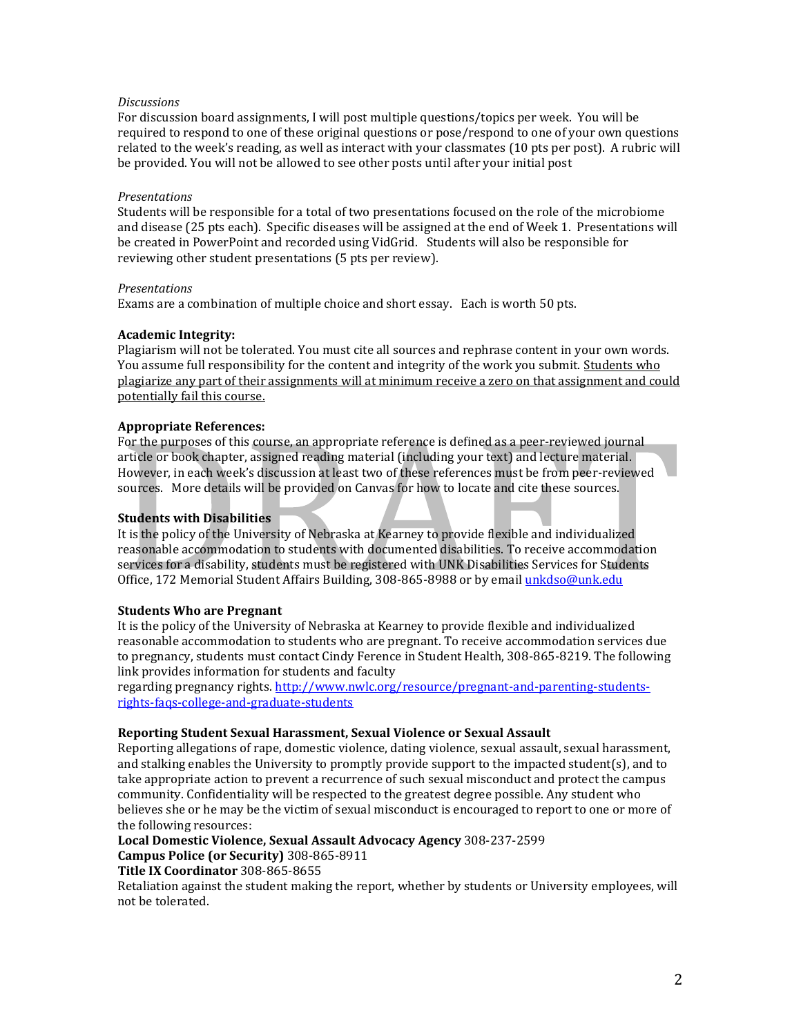### *Discussions*

For discussion board assignments, I will post multiple questions/topics per week. You will be required to respond to one of these original questions or pose/respond to one of your own questions related to the week's reading, as well as interact with your classmates (10 pts per post). A rubric will be provided. You will not be allowed to see other posts until after your initial post

### *Presentations*

Students will be responsible for a total of two presentations focused on the role of the microbiome and disease (25 pts each). Specific diseases will be assigned at the end of Week 1. Presentations will be created in PowerPoint and recorded using VidGrid. Students will also be responsible for reviewing other student presentations (5 pts per review).

### *Presentations*

Exams are a combination of multiple choice and short essay. Each is worth 50 pts.

### **Academic Integrity:**

Plagiarism will not be tolerated. You must cite all sources and rephrase content in your own words. You assume full responsibility for the content and integrity of the work you submit. Students who plagiarize any part of their assignments will at minimum receive a zero on that assignment and could potentially fail this course.

### **Appropriate References:**

For the purposes of this course, an appropriate reference is defined as a peer-reviewed journal article or book chapter, assigned reading material (including your text) and lecture material. However, in each week's discussion at least two of these references must be from peer-reviewed sources. More details will be provided on Canvas for how to locate and cite these sources.

### **Students with Disabilities**

It is the policy of the University of Nebraska at Kearney to provide flexible and individualized reasonable accommodation to students with documented disabilities. To receive accommodation services for a disability, students must be registered with UNK Disabilities Services for Students Office, 172 Memorial Student Affairs Building, 308-865-8988 or by email [unkdso@unk.edu](mailto:unkdso@unk.edu)

### **Students Who are Pregnant**

It is the policy of the University of Nebraska at Kearney to provide flexible and individualized reasonable accommodation to students who are pregnant. To receive accommodation services due to pregnancy, students must contact Cindy Ference in Student Health, 308-865-8219. The following link provides information for students and faculty

regarding pregnancy rights. [http://www.nwlc.org/resource/pregnant-and-parenting-students](https://urldefense.proofpoint.com/v2/url?u=http-3A__www.nwlc.org_resource_pregnant-2Dand-2Dparenting-2Dstudents-2Drights-2Dfaqs-2Dcollege-2Dand-2Dgraduate-2Dstudents&d=DwMFAg&c=Cu5g146wZdoqVuKpTNsYHeFX_rg6kWhlkLF8Eft-wwo&r=BJkIhAaMtWY7PlqIhIOyVw&m=RgBL3s2VNHfvD5ReMK2q_PhwYU8dbEt1vxs1BO4WkpQ&s=MmB91XAzaW-E7UPMXPGx9tWJQbTWJYyYzM8gLjhEzQ0&e=)[rights-faqs-college-and-graduate-students](https://urldefense.proofpoint.com/v2/url?u=http-3A__www.nwlc.org_resource_pregnant-2Dand-2Dparenting-2Dstudents-2Drights-2Dfaqs-2Dcollege-2Dand-2Dgraduate-2Dstudents&d=DwMFAg&c=Cu5g146wZdoqVuKpTNsYHeFX_rg6kWhlkLF8Eft-wwo&r=BJkIhAaMtWY7PlqIhIOyVw&m=RgBL3s2VNHfvD5ReMK2q_PhwYU8dbEt1vxs1BO4WkpQ&s=MmB91XAzaW-E7UPMXPGx9tWJQbTWJYyYzM8gLjhEzQ0&e=)

### **Reporting Student Sexual Harassment, Sexual Violence or Sexual Assault**

Reporting allegations of rape, domestic violence, dating violence, sexual assault, sexual harassment, and stalking enables the University to promptly provide support to the impacted student(s), and to take appropriate action to prevent a recurrence of such sexual misconduct and protect the campus community. Confidentiality will be respected to the greatest degree possible. Any student who believes she or he may be the victim of sexual misconduct is encouraged to report to one or more of the following resources:

**Local Domestic Violence, Sexual Assault Advocacy Agency** 308-237-2599

**Campus Police (or Security)** 308-865-8911

**Title IX Coordinator** 308-865-8655

Retaliation against the student making the report, whether by students or University employees, will not be tolerated.